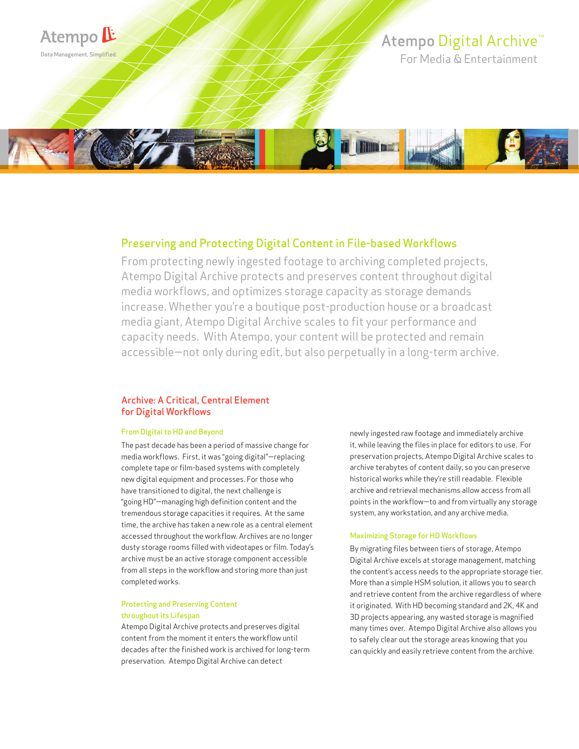

# Preserving and Protecting Digital Content in File-based Workflows

From protecting newly ingested footage to archiving completed projects, Atempo Digital Archive protects and preserves content throughout digital media workflows, and optimizes storage capacity as storage demands increase. Whether you're a boutique post-production house or a broadcast media giant, Atempo Digital Archive scales to fit your performance and capacity needs. With Atempo, your content will be protected and remain accessible—not only during edit, but also perpetually in a long-term archive.

# Archive: A Critical, Central Element for Digital Workflows

#### From Digital to HD and Beyond

The past decade has been a period of massive change for media workflows. First, it was "going digital"—replacing complete tape or film-based systems with completely new digital equipment and processes. For those who have transitioned to digital, the next challenge is "going HD"—managing high definition content and the tremendous storage capacities it requires. At the same time, the archive has taken a new role as a central element accessed throughout the workflow. Archives are no longer dusty storage rooms filled with videotapes or film. Today's archive must be an active storage component accessible from all steps in the workflow and storing more than just completed works.

#### Protecting and Preserving Content throughout its Lifespan

Atempo Digital Archive protects and preserves digital content from the moment it enters the workflow until decades after the finished work is archived for long-term preservation. Atempo Digital Archive can detect

newly ingested raw footage and immediately archive it, while leaving the files in place for editors to use. For preservation projects, Atempo Digital Archive scales to archive terabytes of content daily, so you can preserve historical works while they're still readable. Flexible archive and retrieval mechanisms allow access from all points in the workflow—to and from virtually any storage system, any workstation, and any archive media.

#### Maximizing Storage for HD Workflows

By migrating files between tiers of storage, Atempo Digital Archive excels at storage management, matching the content's access needs to the appropriate storage tier. More than a simple HSM solution, it allows you to search and retrieve content from the archive regardless of where it originated. With HD becoming standard and 2K, 4K and 3D projects appearing, any wasted storage is magnified many times over. Atempo Digital Archive also allows you to safely clear out the storage areas knowing that you can quickly and easily retrieve content from the archive.